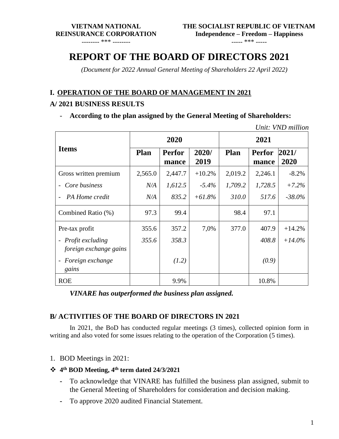-------- \*\*\* --------

----- \*\*\* -----

# **REPORT OF THE BOARD OF DIRECTORS 2021**

*(Document for 2022 Annual General Meeting of Shareholders 22 April 2022)*

#### **I. OPERATION OF THE BOARD OF MANAGEMENT IN 2021**

#### **A/ 2021 BUSINESS RESULTS**

- **According to the plan assigned by the General Meeting of Shareholders:**

*Unit: VND million*

|                                                           | 2020        |                        |               | 2021    |                        |               |  |
|-----------------------------------------------------------|-------------|------------------------|---------------|---------|------------------------|---------------|--|
| <b>Items</b>                                              | <b>Plan</b> | <b>Perfor</b><br>mance | 2020/<br>2019 | Plan    | <b>Perfor</b><br>mance | 2021/<br>2020 |  |
| Gross written premium                                     | 2,565.0     | 2,447.7                | $+10.2%$      | 2,019.2 | 2,246.1                | $-8.2%$       |  |
| Core business<br>$\overline{\phantom{0}}$                 | N/A         | 1,612.5                | $-5.4\%$      | 1,709.2 | 1,728.5                | $+7.2%$       |  |
| PA Home credit                                            | N/A         | 835.2                  | $+61.8\%$     | 310.0   | 517.6                  | $-38.0%$      |  |
| Combined Ratio (%)                                        | 97.3        | 99.4                   |               | 98.4    | 97.1                   |               |  |
| Pre-tax profit                                            | 355.6       | 357.2                  | 7,0%          | 377.0   | 407.9                  | $+14.2%$      |  |
| - Profit excluding<br>foreign exchange gains              | 355.6       | 358.3                  |               |         | 408.8                  | $+14.0\%$     |  |
| Foreign exchange<br>$\qquad \qquad \blacksquare$<br>gains |             | (1.2)                  |               |         | (0.9)                  |               |  |
| <b>ROE</b>                                                |             | 9.9%                   |               |         | 10.8%                  |               |  |

*VINARE has outperformed the business plan assigned.*

### **B/ ACTIVITIES OF THE BOARD OF DIRECTORS IN 2021**

In 2021, the BoD has conducted regular meetings (3 times), collected opinion form in writing and also voted for some issues relating to the operation of the Corporation (5 times).

- 1. BOD Meetings in 2021:
- ❖ **4 th BOD Meeting, 4 th term dated 24/3/2021**
	- **-** To acknowledge that VINARE has fulfilled the business plan assigned, submit to the General Meeting of Shareholders for consideration and decision making.
	- **-** To approve 2020 audited Financial Statement.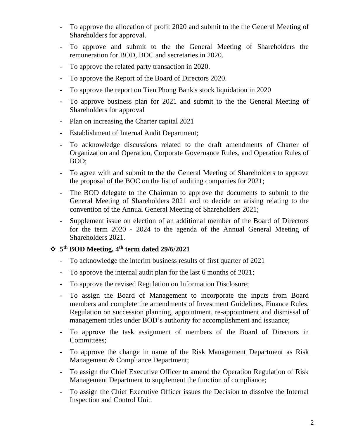- **-** To approve the allocation of profit 2020 and submit to the the General Meeting of Shareholders for approval.
- **-** To approve and submit to the the General Meeting of Shareholders the remuneration for BOD, BOC and secretaries in 2020.
- **-** To approve the related party transaction in 2020.
- **-** To approve the Report of the Board of Directors 2020.
- **-** To approve the report on Tien Phong Bank's stock liquidation in 2020
- **-** To approve business plan for 2021 and submit to the the General Meeting of Shareholders for approval
- **-** Plan on increasing the Charter capital 2021
- **-** Establishment of Internal Audit Department;
- **-** To acknowledge discussions related to the draft amendments of Charter of Organization and Operation, Corporate Governance Rules, and Operation Rules of BOD;
- **-** To agree with and submit to the the General Meeting of Shareholders to approve the proposal of the BOC on the list of auditing companies for 2021;
- **-** The BOD delegate to the Chairman to approve the documents to submit to the General Meeting of Shareholders 2021 and to decide on arising relating to the convention of the Annual General Meeting of Shareholders 2021;
- **-** Supplement issue on election of an additional member of the Board of Directors for the term 2020 - 2024 to the agenda of the Annual General Meeting of Shareholders 2021.

### ❖ **5 th BOD Meeting, 4 th term dated 29/6/2021**

- **-** To acknowledge the interim business results of first quarter of 2021
- **-** To approve the internal audit plan for the last 6 months of 2021;
- **-** To approve the revised Regulation on Information Disclosure;
- **-** To assign the Board of Management to incorporate the inputs from Board members and complete the amendments of Investment Guidelines, Finance Rules, Regulation on succession planning, appointment, re-appointment and dismissal of management titles under BOD's authority for accomplishment and issuance;
- **-** To approve the task assignment of members of the Board of Directors in Committees;
- **-** To approve the change in name of the Risk Management Department as Risk Management & Compliance Department;
- **-** To assign the Chief Executive Officer to amend the Operation Regulation of Risk Management Department to supplement the function of compliance;
- **-** To assign the Chief Executive Officer issues the Decision to dissolve the Internal Inspection and Control Unit.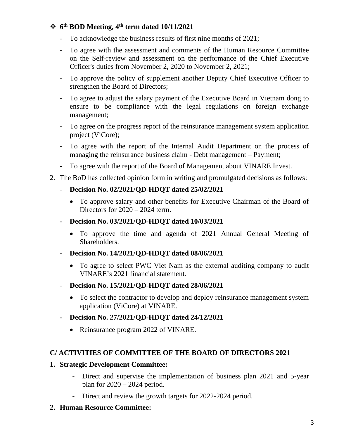## ❖ **6 th BOD Meeting, 4 th term dated 10/11/2021**

- **-** To acknowledge the business results of first nine months of 2021;
- **-** To agree with the assessment and comments of the Human Resource Committee on the Self-review and assessment on the performance of the Chief Executive Officer's duties from November 2, 2020 to November 2, 2021;
- **-** To approve the policy of supplement another Deputy Chief Executive Officer to strengthen the Board of Directors;
- **-** To agree to adjust the salary payment of the Executive Board in Vietnam dong to ensure to be compliance with the legal regulations on foreign exchange management;
- **-** To agree on the progress report of the reinsurance management system application project (ViCore);
- **-** To agree with the report of the Internal Audit Department on the process of managing the reinsurance business claim - Debt management – Payment;
- **-** To agree with the report of the Board of Management about VINARE Invest.
- 2. The BoD has collected opinion form in writing and promulgated decisions as follows:
	- **- Decision No. 02/2021/QD-HDQT dated 25/02/2021**
		- To approve salary and other benefits for Executive Chairman of the Board of Directors for  $2020 - 2024$  term.
	- **- Decision No. 03/2021/QD-HDQT dated 10/03/2021**
		- To approve the time and agenda of 2021 Annual General Meeting of Shareholders.
	- **- Decision No. 14/2021/QD-HDQT dated 08/06/2021**
		- To agree to select PWC Viet Nam as the external auditing company to audit VINARE's 2021 financial statement.
	- **- Decision No. 15/2021/QD-HDQT dated 28/06/2021**
		- To select the contractor to develop and deploy reinsurance management system application (ViCore) at VINARE.
	- **- Decision No. 27/2021/QD-HDQT dated 24/12/2021**
		- Reinsurance program 2022 of VINARE.

### **C/ ACTIVITIES OF COMMITTEE OF THE BOARD OF DIRECTORS 2021**

#### **1. Strategic Development Committee:**

- Direct and supervise the implementation of business plan 2021 and 5-year plan for  $2020 - 2024$  period.
- Direct and review the growth targets for 2022-2024 period.
- **2. Human Resource Committee:**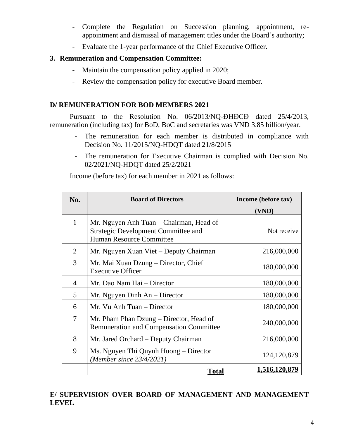- Complete the Regulation on Succession planning, appointment, reappointment and dismissal of management titles under the Board's authority;
- Evaluate the 1-year performance of the Chief Executive Officer.

#### **3. Remuneration and Compensation Committee:**

- Maintain the compensation policy applied in 2020;
- Review the compensation policy for executive Board member.

#### **D/ REMUNERATION FOR BOD MEMBERS 2021**

Pursuant to the Resolution No. 06/2013/NQ-ĐHĐCĐ dated 25/4/2013, remuneration (including tax) for BoD, BoC and secretaries was VND 3.85 billion/year.

- The remuneration for each member is distributed in compliance with Decision No. 11/2015/NQ-HDQT dated 21/8/2015
- The remuneration for Executive Chairman is complied with Decision No. 02/2021/NQ-HDQT dated 25/2/2021

Income (before tax) for each member in 2021 as follows:

| No.          | <b>Board of Directors</b>                                                                                         | Income (before tax)  |  |
|--------------|-------------------------------------------------------------------------------------------------------------------|----------------------|--|
|              |                                                                                                                   | (VND)                |  |
| $\mathbf{1}$ | Mr. Nguyen Anh Tuan – Chairman, Head of<br><b>Strategic Development Committee and</b><br>Human Resource Committee | Not receive          |  |
| 2            | Mr. Nguyen Xuan Viet – Deputy Chairman                                                                            | 216,000,000          |  |
| 3            | Mr. Mai Xuan Dzung - Director, Chief<br><b>Executive Officer</b>                                                  | 180,000,000          |  |
| 4            | Mr. Dao Nam Hai – Director                                                                                        | 180,000,000          |  |
| 5            | Mr. Nguyen Dinh $An$ – Director                                                                                   | 180,000,000          |  |
| 6            | Mr. Vu Anh Tuan – Director                                                                                        | 180,000,000          |  |
| 7            | Mr. Pham Phan Dzung – Director, Head of<br><b>Remuneration and Compensation Committee</b>                         | 240,000,000          |  |
| 8            | Mr. Jared Orchard – Deputy Chairman                                                                               | 216,000,000          |  |
| 9            | Ms. Nguyen Thi Quynh Huong – Director<br>(Member since $23/4/2021$ )                                              | 124, 120, 879        |  |
|              | <b>Total</b>                                                                                                      | <u>1,516,120,879</u> |  |

### **E/ SUPERVISION OVER BOARD OF MANAGEMENT AND MANAGEMENT LEVEL**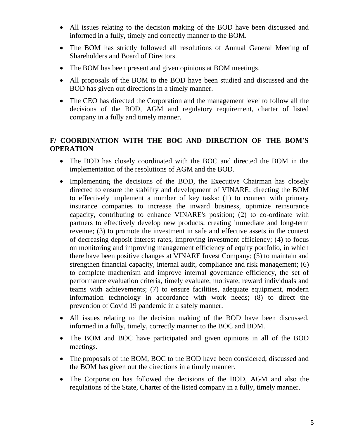- All issues relating to the decision making of the BOD have been discussed and informed in a fully, timely and correctly manner to the BOM.
- The BOM has strictly followed all resolutions of Annual General Meeting of Shareholders and Board of Directors.
- The BOM has been present and given opinions at BOM meetings.
- All proposals of the BOM to the BOD have been studied and discussed and the BOD has given out directions in a timely manner.
- The CEO has directed the Corporation and the management level to follow all the decisions of the BOD, AGM and regulatory requirement, charter of listed company in a fully and timely manner.

# **F/ COORDINATION WITH THE BOC AND DIRECTION OF THE BOM'S OPERATION**

- The BOD has closely coordinated with the BOC and directed the BOM in the implementation of the resolutions of AGM and the BOD.
- Implementing the decisions of the BOD, the Executive Chairman has closely directed to ensure the stability and development of VINARE: directing the BOM to effectively implement a number of key tasks: (1) to connect with primary insurance companies to increase the inward business, optimize reinsurance capacity, contributing to enhance VINARE's position; (2) to co-ordinate with partners to effectively develop new products, creating immediate and long-term revenue; (3) to promote the investment in safe and effective assets in the context of decreasing deposit interest rates, improving investment efficiency; (4) to focus on monitoring and improving management efficiency of equity portfolio, in which there have been positive changes at VINARE Invest Company; (5) to maintain and strengthen financial capacity, internal audit, compliance and risk management; (6) to complete machenism and improve internal governance efficiency, the set of performance evaluation criteria, timely evaluate, motivate, reward individuals and teams with achievements; (7) to ensure facilities, adequate equipment, modern information technology in accordance with work needs; (8) to direct the prevention of Covid 19 pandemic in a safely manner.
- All issues relating to the decision making of the BOD have been discussed, informed in a fully, timely, correctly manner to the BOC and BOM.
- The BOM and BOC have participated and given opinions in all of the BOD meetings.
- The proposals of the BOM, BOC to the BOD have been considered, discussed and the BOM has given out the directions in a timely manner.
- The Corporation has followed the decisions of the BOD, AGM and also the regulations of the State, Charter of the listed company in a fully, timely manner.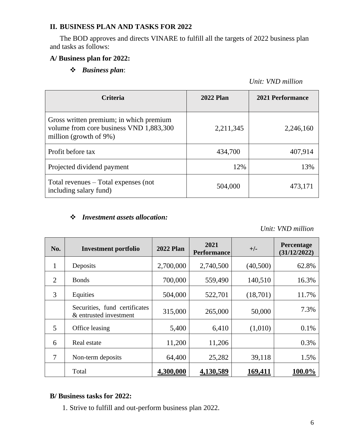# **II. BUSINESS PLAN AND TASKS FOR 2022**

The BOD approves and directs VINARE to fulfill all the targets of 2022 business plan and tasks as follows:

### **A/ Business plan for 2022:**

# ❖ *Business plan*:

*Unit: VND million*

| <b>Criteria</b>                                                                                              | <b>2022 Plan</b> | 2021 Performance |
|--------------------------------------------------------------------------------------------------------------|------------------|------------------|
| Gross written premium; in which premium<br>volume from core business VND 1,883,300<br>million (growth of 9%) | 2,211,345        | 2,246,160        |
| Profit before tax                                                                                            | 434,700          | 407,914          |
| Projected dividend payment                                                                                   | 12%              | 13%              |
| Total revenues $-$ Total expenses (not<br>including salary fund)                                             | 504,000          | 473,171          |

# ❖ *Investment assets allocation:*

*Unit: VND million*

| No. | <b>Investment portfolio</b>                             | <b>2022 Plan</b> | 2021<br><b>Performance</b> | $+/-$    | Percentage<br>(31/12/2022) |
|-----|---------------------------------------------------------|------------------|----------------------------|----------|----------------------------|
| 1   | Deposits                                                | 2,700,000        | 2,740,500                  | (40,500) | 62.8%                      |
| 2   | <b>Bonds</b>                                            | 700,000          | 559,490                    | 140,510  | 16.3%                      |
| 3   | Equities                                                | 504,000          | 522,701                    | (18,701) | 11.7%                      |
|     | Securities, fund certificates<br>& entrusted investment | 315,000          | 265,000                    | 50,000   | 7.3%                       |
| 5   | Office leasing                                          | 5,400            | 6,410                      | (1,010)  | 0.1%                       |
| 6   | Real estate                                             | 11,200           | 11,206                     |          | 0.3%                       |
| 7   | Non-term deposits                                       | 64,400           | 25,282                     | 39,118   | 1.5%                       |
|     | Total                                                   | 4,300,000        | 4,130,589                  | 169,411  | 100.0%                     |

### **B/ Business tasks for 2022:**

1. Strive to fulfill and out-perform business plan 2022.